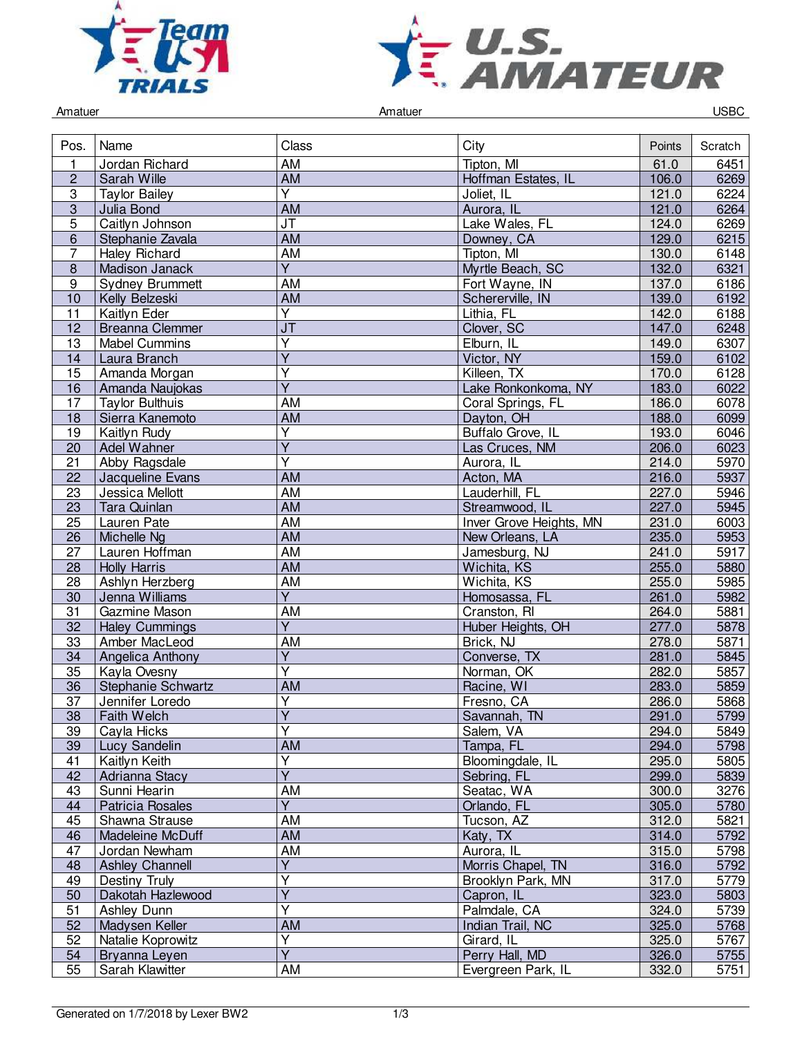



Amatuer Controller Controller Amatuer Amatuer Controller Controller Controller Controller Controller Controller

| Pos.            | Name                   | Class                                | City                    | Points | Scratch |
|-----------------|------------------------|--------------------------------------|-------------------------|--------|---------|
| 1               | Jordan Richard         | AM                                   | Tipton, MI              | 61.0   | 6451    |
| $\overline{2}$  | Sarah Wille            | $\overline{AM}$                      | Hoffman Estates, IL     | 106.0  | 6269    |
| 3               | <b>Taylor Bailey</b>   | $\overline{Y}$                       | Joliet, IL              | 121.0  | 6224    |
| $\overline{3}$  | Julia Bond             | $\overline{AM}$                      | Aurora, IL              | 121.0  | 6264    |
| 5               | Caitlyn Johnson        | JT                                   | Lake Wales, FL          | 124.0  | 6269    |
| 6               | Stephanie Zavala       | <b>AM</b>                            | Downey, CA              | 129.0  | 6215    |
| 7               | <b>Haley Richard</b>   | AM                                   | Tipton, MI              | 130.0  | 6148    |
| 8               | Madison Janack         | Y                                    | Myrtle Beach, SC        | 132.0  | 6321    |
| $\overline{9}$  | <b>Sydney Brummett</b> | AM                                   | Fort Wayne, IN          | 137.0  | 6186    |
| 10              | Kelly Belzeski         | AM                                   | Schererville, IN        | 139.0  | 6192    |
| 11              | Kaitlyn Eder           | $\overline{\mathsf{Y}}$              | Lithia, FL              | 142.0  | 6188    |
| $\overline{12}$ | <b>Breanna Clemmer</b> | $\overline{\mathsf{J}^{\mathsf{T}}}$ | Clover, SC              | 147.0  | 6248    |
| 13              | <b>Mabel Cummins</b>   | $\overline{Y}$                       | Elburn, IL              | 149.0  | 6307    |
| 14              | Laura Branch           | $\overline{Y}$                       | Victor, NY              | 159.0  | 6102    |
| 15              | Amanda Morgan          | Y                                    | Killeen, TX             | 170.0  | 6128    |
| 16              | Amanda Naujokas        | $\overline{Y}$                       | Lake Ronkonkoma, NY     | 183.0  | 6022    |
| 17              | <b>Taylor Bulthuis</b> | AM                                   | Coral Springs, FL       | 186.0  | 6078    |
| 18              | Sierra Kanemoto        | AM                                   | Dayton, OH              | 188.0  | 6099    |
| 19              | Kaitlyn Rudy           | $\overline{\mathsf{Y}}$              | Buffalo Grove, IL       | 193.0  | 6046    |
| $\overline{20}$ | Adel Wahner            | $\overline{Y}$                       | Las Cruces, NM          | 206.0  | 6023    |
|                 |                        | $\overline{\mathsf{Y}}$              |                         | 214.0  |         |
| 21              | Abby Ragsdale          | <b>AM</b>                            | Aurora, IL              |        | 5970    |
| 22              | Jacqueline Evans       |                                      | Acton, MA               | 216.0  | 5937    |
| 23              | Jessica Mellott        | <b>AM</b>                            | Lauderhill, FL          | 227.0  | 5946    |
| 23              | Tara Quinlan           | <b>AM</b>                            | Streamwood, IL          | 227.0  | 5945    |
| $\overline{25}$ | Lauren Pate            | <b>AM</b>                            | Inver Grove Heights, MN | 231.0  | 6003    |
| 26              | Michelle Ng            | <b>AM</b>                            | New Orleans, LA         | 235.0  | 5953    |
| 27              | Lauren Hoffman         | AM                                   | Jamesburg, NJ           | 241.0  | 5917    |
| 28              | <b>Holly Harris</b>    | AM                                   | Wichita, KS             | 255.0  | 5880    |
| 28              | Ashlyn Herzberg        | AM                                   | Wichita, KS             | 255.0  | 5985    |
| $\overline{30}$ | Jenna Williams         | $\overline{Y}$                       | Homosassa, FL           | 261.0  | 5982    |
| $\overline{31}$ | Gazmine Mason          | AM                                   | Cranston, RI            | 264.0  | 5881    |
| 32              | <b>Haley Cummings</b>  | $\overline{Y}$                       | Huber Heights, OH       | 277.0  | 5878    |
| 33              | Amber MacLeod          | AM                                   | Brick, NJ               | 278.0  | 5871    |
| 34              | Angelica Anthony       | $\overline{Y}$                       | Converse, TX            | 281.0  | 5845    |
| 35              | Kayla Ovesny           | $\overline{\mathsf{Y}}$              | Norman, OK              | 282.0  | 5857    |
| 36              | Stephanie Schwartz     | AM                                   | Racine, WI              | 283.0  | 5859    |
| $\overline{37}$ | Jennifer Loredo        | $\overline{\mathsf{Y}}$              | Fresno, CA              | 286.0  | 5868    |
| 38              | Faith Welch            | $\overline{\mathsf{Y}}$              | Savannah, TN            | 291.0  | 5799    |
| 39              | Cayla Hicks            | Y                                    | Salem, VA               | 294.0  | 5849    |
| 39              | Lucy Sandelin          | <b>AM</b>                            | Tampa, FL               | 294.0  | 5798    |
| 41              | Kaitlyn Keith          | $\overline{\mathsf{Y}}$              | Bloomingdale, IL        | 295.0  | 5805    |
| 42              | Adrianna Stacy         | $\overline{Y}$                       | Sebring, FL             | 299.0  | 5839    |
| 43              | Sunni Hearin           | AM                                   | Seatac, WA              | 300.0  | 3276    |
| 44              | Patricia Rosales       | $\overline{Y}$                       | Orlando, FL             | 305.0  | 5780    |
| 45              | Shawna Strause         | AM                                   | Tucson, AZ              | 312.0  | 5821    |
| 46              | Madeleine McDuff       | AM                                   | Katy, TX                | 314.0  | 5792    |
| 47              | Jordan Newham          | AM                                   | Aurora, IL              | 315.0  | 5798    |
| 48              | <b>Ashley Channell</b> | Υ                                    | Morris Chapel, TN       | 316.0  | 5792    |
| 49              | Destiny Truly          | Y                                    | Brooklyn Park, MN       | 317.0  | 5779    |
| 50              | Dakotah Hazlewood      | $\overline{Y}$                       | Capron, IL              | 323.0  | 5803    |
| $\overline{51}$ | Ashley Dunn            | $\overline{\mathsf{Y}}$              | Palmdale, CA            | 324.0  | 5739    |
| 52              | Madysen Keller         | <b>AM</b>                            | Indian Trail, NC        | 325.0  | 5768    |
| 52              | Natalie Koprowitz      | $\overline{\mathsf{Y}}$              | Girard, IL              | 325.0  | 5767    |
| 54              | Bryanna Leyen          | $\overline{Y}$                       | Perry Hall, MD          | 326.0  | 5755    |
| 55              | Sarah Klawitter        | AM                                   | Evergreen Park, IL      | 332.0  | 5751    |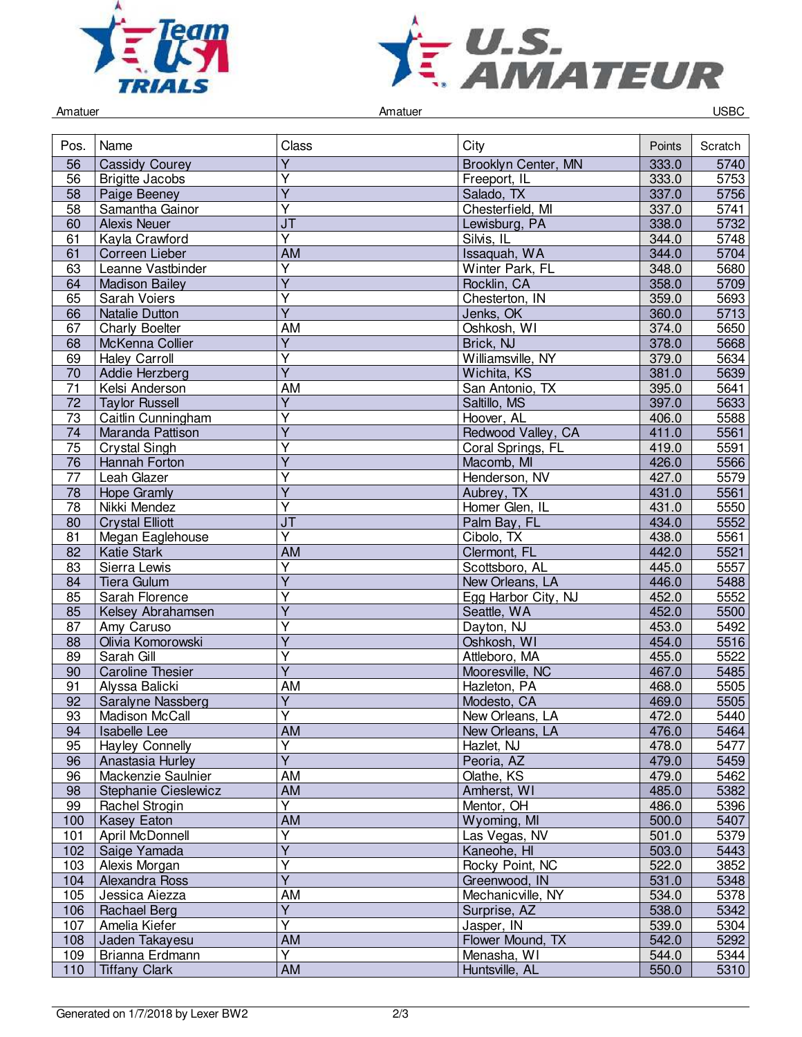



Amatuer Controller Controller Amatuer Amatuer Controller Controller Controller Controller Controller Controller

| Pos.            | Name                    | Class                             | City                | Points | Scratch |
|-----------------|-------------------------|-----------------------------------|---------------------|--------|---------|
| 56              | <b>Cassidy Courey</b>   | Υ                                 | Brooklyn Center, MN | 333.0  | 5740    |
| 56              | <b>Brigitte Jacobs</b>  | Ÿ                                 | Freeport, IL        | 333.0  | 5753    |
| 58              | Paige Beeney            | $\overline{Y}$                    | Salado, TX          | 337.0  | 5756    |
| 58              | Samantha Gainor         | $\overline{\mathsf{Y}}$           | Chesterfield, MI    | 337.0  | 5741    |
| 60              | <b>Alexis Neuer</b>     | J <sub>T</sub>                    | Lewisburg, PA       | 338.0  | 5732    |
| 61              | Kayla Crawford          | $\overline{\mathsf{Y}}$           | Silvis, IL          | 344.0  | 5748    |
| 61              | Correen Lieber          | AM                                | Issaquah, WA        | 344.0  | 5704    |
| 63              | Leanne Vastbinder       | $\overline{Y}$                    | Winter Park, FL     | 348.0  | 5680    |
| 64              | <b>Madison Bailey</b>   | $\overline{Y}$                    | Rocklin, CA         | 358.0  | 5709    |
| 65              | Sarah Voiers            | Υ                                 | Chesterton, IN      | 359.0  | 5693    |
| 66              | <b>Natalie Dutton</b>   | $\overline{\mathsf{Y}}$           | Jenks, OK           | 360.0  | 5713    |
| 67              | Charly Boelter          | AM                                | Oshkosh, WI         | 374.0  | 5650    |
| 68              | McKenna Collier         | $\overline{Y}$                    | Brick, NJ           | 378.0  | 5668    |
| 69              | <b>Haley Carroll</b>    | $\overline{\mathsf{Y}}$           | Williamsville, NY   | 379.0  | 5634    |
| 70              | Addie Herzberg          | $\overline{Y}$                    | Wichita, KS         | 381.0  | 5639    |
| $\overline{71}$ | Kelsi Anderson          | AM                                | San Antonio, TX     | 395.0  | 5641    |
| $\overline{72}$ | <b>Taylor Russell</b>   | $\overline{Y}$                    | Saltillo, MS        | 397.0  | 5633    |
| 73              | Caitlin Cunningham      | Y                                 | Hoover, AL          | 406.0  | 5588    |
| 74              | Maranda Pattison        | Ÿ                                 | Redwood Valley, CA  | 411.0  | 5561    |
| 75              | <b>Crystal Singh</b>    | Y                                 | Coral Springs, FL   | 419.0  | 5591    |
| 76              | Hannah Forton           | Ÿ                                 | Macomb, MI          | 426.0  | 5566    |
| 77              | Leah Glazer             | Υ                                 | Henderson, NV       | 427.0  | 5579    |
| 78              | Hope Gramly             | Y                                 | Aubrey, TX          | 431.0  | 5561    |
| 78              | Nikki Mendez            | $\overline{\mathsf{Y}}$           | Homer Glen, IL      | 431.0  | 5550    |
| 80              | <b>Crystal Elliott</b>  | $\overline{\mathsf{J}\mathsf{T}}$ | Palm Bay, FL        | 434.0  | 5552    |
| 81              | Megan Eaglehouse        | $\overline{Y}$                    | Cibolo, TX          | 438.0  | 5561    |
| 82              | <b>Katie Stark</b>      | <b>AM</b>                         | Clermont, FL        | 442.0  | 5521    |
| 83              | Sierra Lewis            | Ÿ                                 | Scottsboro, AL      | 445.0  | 5557    |
| 84              | Tiera Gulum             | Y                                 | New Orleans, LA     | 446.0  | 5488    |
| 85              | Sarah Florence          | Υ                                 | Egg Harbor City, NJ | 452.0  | 5552    |
| 85              | Kelsey Abrahamsen       | Ÿ                                 | Seattle, WA         | 452.0  | 5500    |
| 87              | Amy Caruso              | Υ                                 | Dayton, NJ          | 453.0  | 5492    |
| 88              | Olivia Komorowski       | $\overline{Y}$                    | Oshkosh, WI         | 454.0  | 5516    |
| 89              | Sarah Gill              | $\overline{\mathsf{Y}}$           | Attleboro, MA       | 455.0  | 5522    |
| 90              | <b>Caroline Thesier</b> | $\overline{\mathsf{Y}}$           | Mooresville, NC     | 467.0  | 5485    |
| 91              | Alyssa Balicki          | AM                                | Hazleton, PA        | 468.0  | 5505    |
| 92              | Saralyne Nassberg       | $\overline{Y}$                    | Modesto, CA         | 469.0  | 5505    |
| 93              | Madison McCall          | v                                 | New Orleans, LA     | 472.0  | 5440    |
| 94              | <b>Isabelle Lee</b>     | AM                                | New Orleans, LA     | 476.0  | 5464    |
| 95              | <b>Hayley Connelly</b>  | Υ                                 | Hazlet, NJ          | 478.0  | 5477    |
| 96              | Anastasia Hurley        | $\overline{\mathsf{Y}}$           | Peoria, AZ          | 479.0  | 5459    |
| 96              | Mackenzie Saulnier      | AM                                | Olathe, KS          | 479.0  | 5462    |
| 98              | Stephanie Cieslewicz    | AM                                | Amherst, WI         | 485.0  | 5382    |
| 99              | Rachel Strogin          | Y                                 | Mentor, OH          | 486.0  | 5396    |
| 100             | <b>Kasey Eaton</b>      | AM                                | Wyoming, MI         | 500.0  | 5407    |
| 101             | April McDonnell         | Y                                 | Las Vegas, NV       | 501.0  | 5379    |
| 102             | Saige Yamada            | $\overline{\mathsf{Y}}$           | Kaneohe, HI         | 503.0  | 5443    |
| 103             | Alexis Morgan           | Y                                 | Rocky Point, NC     | 522.0  | 3852    |
| 104             | Alexandra Ross          | $\overline{Y}$                    | Greenwood, IN       | 531.0  | 5348    |
| 105             | Jessica Ajezza          | AM                                | Mechanicville, NY   | 534.0  | 5378    |
| 106             | Rachael Berg            | $\overline{Y}$                    | Surprise, AZ        | 538.0  | 5342    |
| 107             | Amelia Kiefer           | $\overline{Y}$                    | Jasper, IN          | 539.0  | 5304    |
| 108             | Jaden Takayesu          | AM                                | Flower Mound, TX    | 542.0  | 5292    |
| 109             | Brianna Erdmann         | Y                                 | Menasha, WI         | 544.0  | 5344    |
| 110             | <b>Tiffany Clark</b>    | <b>AM</b>                         | Huntsville, AL      | 550.0  | 5310    |